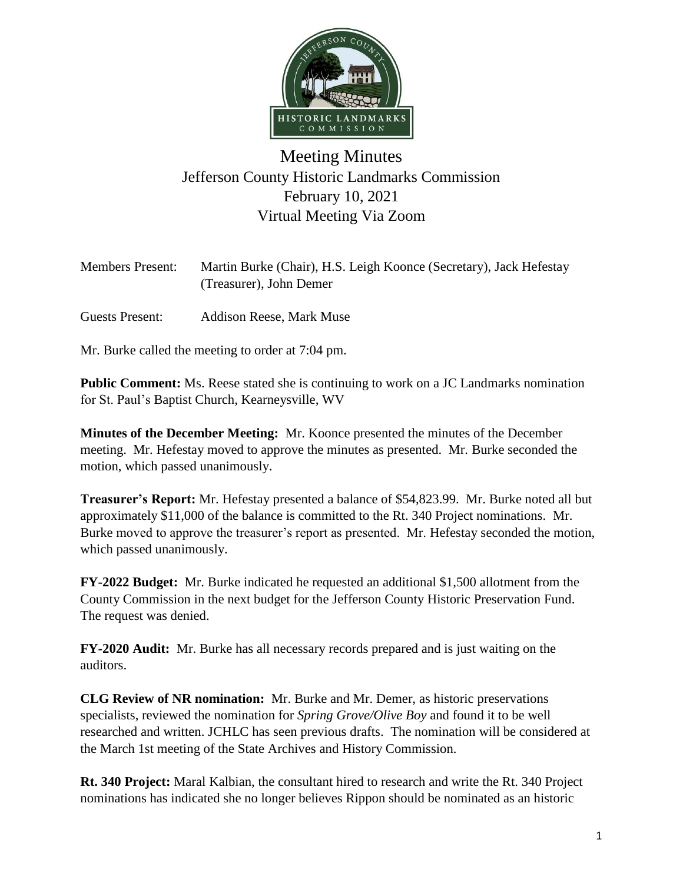

## Meeting Minutes Jefferson County Historic Landmarks Commission February 10, 2021 Virtual Meeting Via Zoom

| <b>Members Present:</b> | Martin Burke (Chair), H.S. Leigh Koonce (Secretary), Jack Hefestay |
|-------------------------|--------------------------------------------------------------------|
|                         | (Treasurer), John Demer                                            |
|                         |                                                                    |

Guests Present: Addison Reese, Mark Muse

Mr. Burke called the meeting to order at 7:04 pm.

**Public Comment:** Ms. Reese stated she is continuing to work on a JC Landmarks nomination for St. Paul's Baptist Church, Kearneysville, WV

**Minutes of the December Meeting:** Mr. Koonce presented the minutes of the December meeting. Mr. Hefestay moved to approve the minutes as presented. Mr. Burke seconded the motion, which passed unanimously.

**Treasurer's Report:** Mr. Hefestay presented a balance of \$54,823.99. Mr. Burke noted all but approximately \$11,000 of the balance is committed to the Rt. 340 Project nominations. Mr. Burke moved to approve the treasurer's report as presented. Mr. Hefestay seconded the motion, which passed unanimously.

**FY-2022 Budget:** Mr. Burke indicated he requested an additional \$1,500 allotment from the County Commission in the next budget for the Jefferson County Historic Preservation Fund. The request was denied.

**FY-2020 Audit:** Mr. Burke has all necessary records prepared and is just waiting on the auditors.

**CLG Review of NR nomination:** Mr. Burke and Mr. Demer, as historic preservations specialists, reviewed the nomination for *Spring Grove/Olive Boy* and found it to be well researched and written. JCHLC has seen previous drafts. The nomination will be considered at the March 1st meeting of the State Archives and History Commission.

**Rt. 340 Project:** Maral Kalbian, the consultant hired to research and write the Rt. 340 Project nominations has indicated she no longer believes Rippon should be nominated as an historic